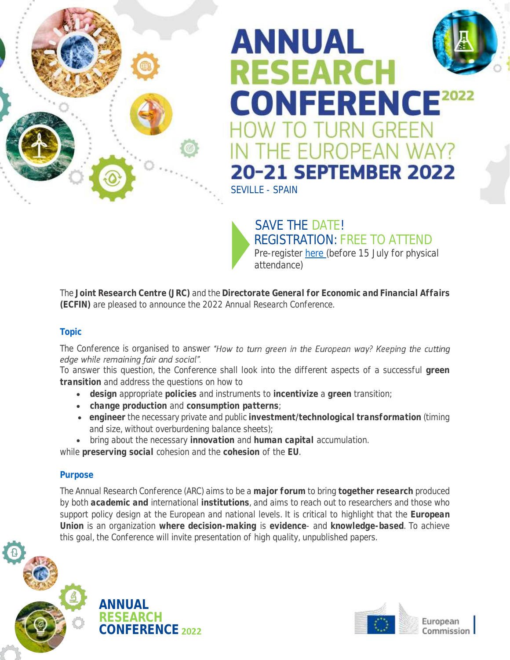

# **ANNUAL RESEARCH CONFERENCE2022** ) TURN GREEN THE EUROPEAN WAY? **20-21 SEPTEMBER 2022** [SEVILLE -](https://ec.europa.eu/economy_finance/arc2022/) SPAIN

SAVE THE DATE! [REGISTRATION: FREE TO ATTEND](https://scic.ec.europa.eu/ew/register/jrc/ecfin_jrc_arc22/m/l/kk/60be03a943a7ebb84db121561c93a4ca/)  Pre-register [here \(](https://ec.europa.eu/economy_finance/arc2022/)before 15 July for physical attendance)

The **Joint Research Centre (JRC)** and the **Directorate General for Economic and Financial Affairs (ECFIN)** are pleased to announce the 2022 Annual Research Conference.

# **Topic**

The Conference is organised to answer "How to turn green in the European way? Keeping the cutting edge while remaining fair and social".

To answer this question, the Conference shall look into the different aspects of a successful **green transition** and address the questions on how to

- **design** appropriate **policies** and instruments to **incentivize** a **green** transition;
- **change production** and **consumption patterns**;
- **engineer** the necessary private and public **investment/technological transformation** (timing and size, without overburdening balance sheets);
- bring about the necessary **innovation** and **human capital** accumulation.

while **preserving social** cohesion and the **cohesion** of the **EU**.

# **Purpose**

The Annual Research Conference (ARC) aims to be a **major forum** to bring **together research** produced by both **academic and** international **institutions**, and aims to reach out to researchers and those who support policy design at the European and national levels. It is critical to highlight that the **European Union** is an organization **where decision-making** is **evidence**- and **knowledge-based**. To achieve this goal, the Conference will invite presentation of high quality, unpublished papers.



**ANNUAL RESEARCH CONFERENCE 2022**